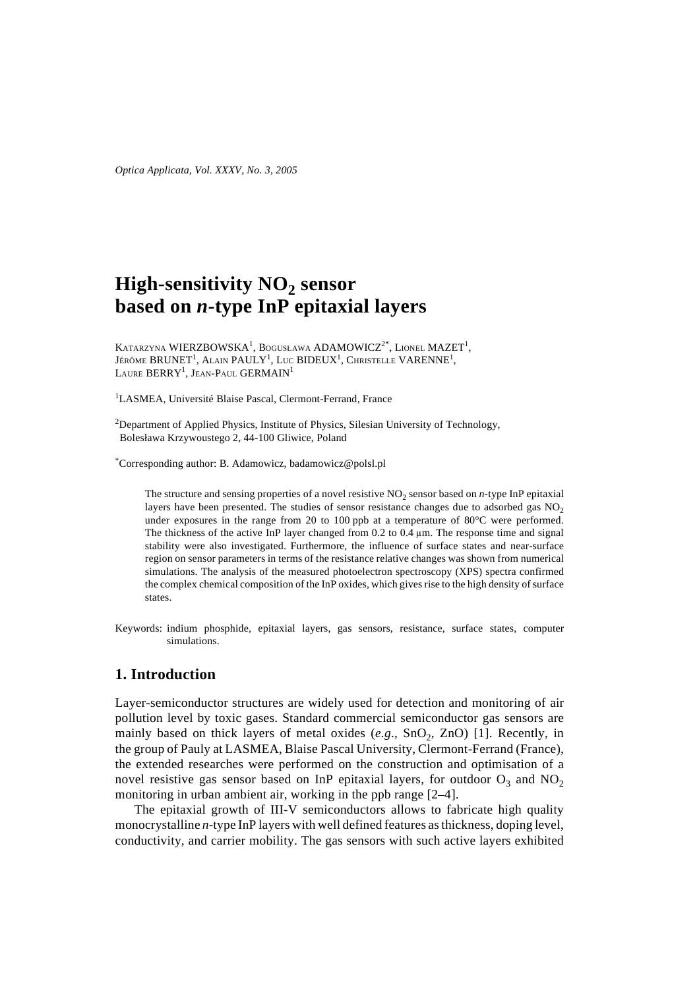*Optica Applicata, Vol. XXXV, No. 3, 2005*

# **High-sensitivity NO<sub>2</sub> sensor based on** *n***-type InP epitaxial layers**

KATARZYNA WIERZBOWSKA<sup>1</sup>, Bogusława ADAMOWICZ<sup>2\*</sup>, Lionel MAZET<sup>1</sup>, Jérôme BRUNET<sup>1</sup>, Alain PAULY<sup>1</sup>, Luc BIDEUX<sup>1</sup>, Christelle VARENNE<sup>1</sup>, Laure  $\rm BERRY^1$ , Jean-Paul GERMAIN<sup>1</sup>

<sup>1</sup>LASMEA, Université Blaise Pascal, Clermont-Ferrand, France

 $2$ Department of Applied Physics, Institute of Physics, Silesian University of Technology, Bolesława Krzywoustego 2, 44-100 Gliwice, Poland

\* Corresponding author: B. Adamowicz, badamowicz@polsl.pl

The structure and sensing properties of a novel resistive  $NO<sub>2</sub>$  sensor based on *n*-type InP epitaxial layers have been presented. The studies of sensor resistance changes due to adsorbed gas  $NO<sub>2</sub>$ under exposures in the range from 20 to 100 ppb at a temperature of 80°C were performed. The thickness of the active InP layer changed from 0.2 to 0.4 µm. The response time and signal stability were also investigated. Furthermore, the influence of surface states and near-surface region on sensor parameters in terms of the resistance relative changes was shown from numerical simulations. The analysis of the measured photoelectron spectroscopy (XPS) spectra confirmed the complex chemical composition of the InP oxides, which gives rise to the high density of surface states.

Keywords: indium phosphide, epitaxial layers, gas sensors, resistance, surface states, computer simulations.

## **1. Introduction**

Layer-semiconductor structures are widely used for detection and monitoring of air pollution level by toxic gases. Standard commercial semiconductor gas sensors are mainly based on thick layers of metal oxides  $(e.g., SnO<sub>2</sub>, ZnO)$  [1]. Recently, in the group of Pauly at LASMEA, Blaise Pascal University, Clermont-Ferrand (France), the extended researches were performed on the construction and optimisation of a novel resistive gas sensor based on InP epitaxial layers, for outdoor  $O_3$  and NO<sub>2</sub> monitoring in urban ambient air, working in the ppb range [2–4].

The epitaxial growth of III-V semiconductors allows to fabricate high quality monocrystalline *n*-type InP layers with well defined features as thickness, doping level, conductivity, and carrier mobility. The gas sensors with such active layers exhibited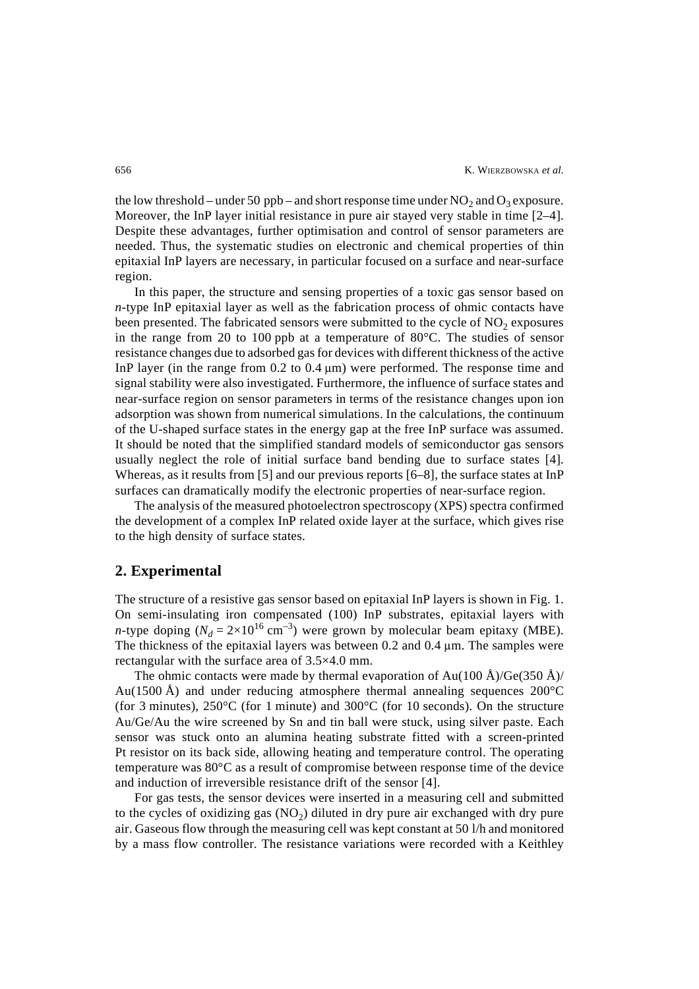the low threshold – under 50 ppb – and short response time under  $NO_2$  and  $O_2$  exposure. Moreover, the InP layer initial resistance in pure air stayed very stable in time [2–4]. Despite these advantages, further optimisation and control of sensor parameters are needed. Thus, the systematic studies on electronic and chemical properties of thin epitaxial InP layers are necessary, in particular focused on a surface and near-surface region.

In this paper, the structure and sensing properties of a toxic gas sensor based on *n*-type InP epitaxial layer as well as the fabrication process of ohmic contacts have been presented. The fabricated sensors were submitted to the cycle of  $NO<sub>2</sub>$  exposures in the range from 20 to 100 ppb at a temperature of 80°C. The studies of sensor resistance changes due to adsorbed gas for devices with different thickness of the active InP layer (in the range from  $0.2$  to  $0.4 \mu m$ ) were performed. The response time and signal stability were also investigated. Furthermore, the influence of surface states and near-surface region on sensor parameters in terms of the resistance changes upon ion adsorption was shown from numerical simulations. In the calculations, the continuum of the U-shaped surface states in the energy gap at the free InP surface was assumed. It should be noted that the simplified standard models of semiconductor gas sensors usually neglect the role of initial surface band bending due to surface states [4]. Whereas, as it results from [5] and our previous reports [6–8], the surface states at InP surfaces can dramatically modify the electronic properties of near-surface region.

The analysis of the measured photoelectron spectroscopy (XPS) spectra confirmed the development of a complex InP related oxide layer at the surface, which gives rise to the high density of surface states.

### **2. Experimental**

The structure of a resistive gas sensor based on epitaxial InP layers is shown in Fig. 1. On semi-insulating iron compensated (100) InP substrates, epitaxial layers with *n*-type doping ( $N_d = 2 \times 10^{16}$  cm<sup>-3</sup>) were grown by molecular beam epitaxy (MBE). The thickness of the epitaxial layers was between 0.2 and 0.4 µm. The samples were rectangular with the surface area of 3.5×4.0 mm.

The ohmic contacts were made by thermal evaporation of Au(100 Å)/Ge(350 Å)/ Au(1500 Å) and under reducing atmosphere thermal annealing sequences  $200^{\circ}$ C (for 3 minutes), 250°C (for 1 minute) and 300°C (for 10 seconds). On the structure Au/Ge/Au the wire screened by Sn and tin ball were stuck, using silver paste. Each sensor was stuck onto an alumina heating substrate fitted with a screen-printed Pt resistor on its back side, allowing heating and temperature control. The operating temperature was 80°C as a result of compromise between response time of the device and induction of irreversible resistance drift of the sensor [4].

For gas tests, the sensor devices were inserted in a measuring cell and submitted to the cycles of oxidizing gas  $(NO<sub>2</sub>)$  diluted in dry pure air exchanged with dry pure air. Gaseous flow through the measuring cell was kept constant at 50 l/h and monitored by a mass flow controller. The resistance variations were recorded with a Keithley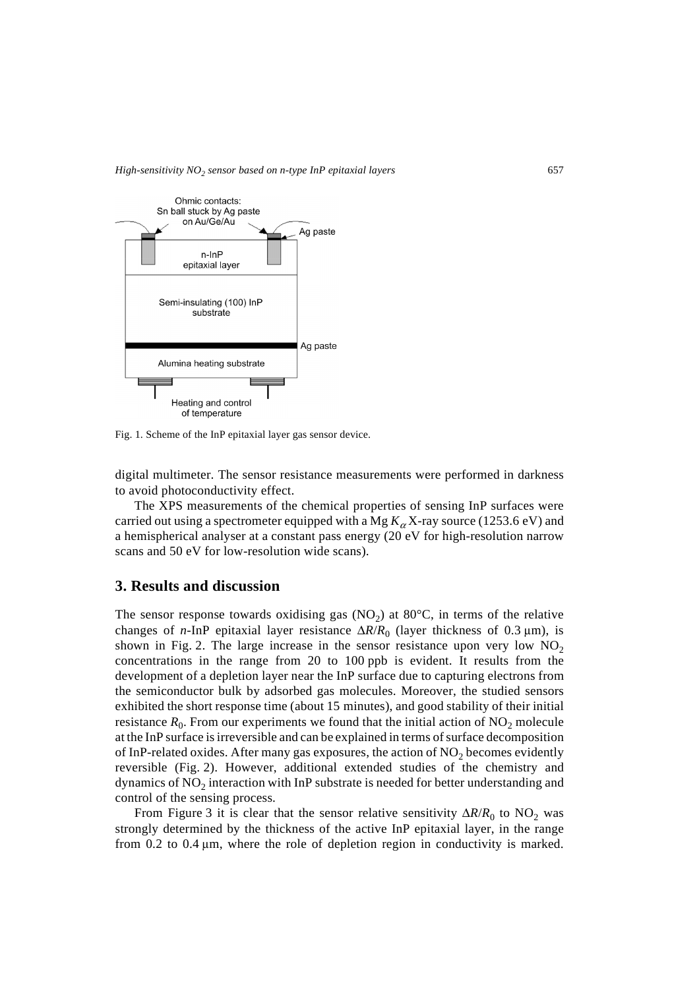

Fig. 1. Scheme of the InP epitaxial layer gas sensor device.

digital multimeter. The sensor resistance measurements were performed in darkness to avoid photoconductivity effect.

The XPS measurements of the chemical properties of sensing InP surfaces were carried out using a spectrometer equipped with a Mg  $K_{\alpha}X$ -ray source (1253.6 eV) and a hemispherical analyser at a constant pass energy (20 eV for high-resolution narrow scans and 50 eV for low-resolution wide scans).

## **3. Results and discussion**

The sensor response towards oxidising gas  $(NO<sub>2</sub>)$  at  $80^{\circ}C$ , in terms of the relative changes of *n*-InP epitaxial layer resistance  $\Delta R/R_0$  (layer thickness of 0.3 µm), is shown in Fig. 2. The large increase in the sensor resistance upon very low  $NO<sub>2</sub>$ concentrations in the range from 20 to 100 ppb is evident. It results from the development of a depletion layer near the InP surface due to capturing electrons from the semiconductor bulk by adsorbed gas molecules. Moreover, the studied sensors exhibited the short response time (about 15 minutes), and good stability of their initial resistance  $R_0$ . From our experiments we found that the initial action of  $NO_2$  molecule at the InP surface is irreversible and can be explained in terms of surface decomposition of InP-related oxides. After many gas exposures, the action of  $NO<sub>2</sub>$  becomes evidently reversible (Fig. 2). However, additional extended studies of the chemistry and dynamics of  $NO<sub>2</sub>$  interaction with InP substrate is needed for better understanding and control of the sensing process.

From Figure 3 it is clear that the sensor relative sensitivity  $\Delta R/R_0$  to NO<sub>2</sub> was strongly determined by the thickness of the active InP epitaxial layer, in the range from 0.2 to 0.4  $\mu$ m, where the role of depletion region in conductivity is marked.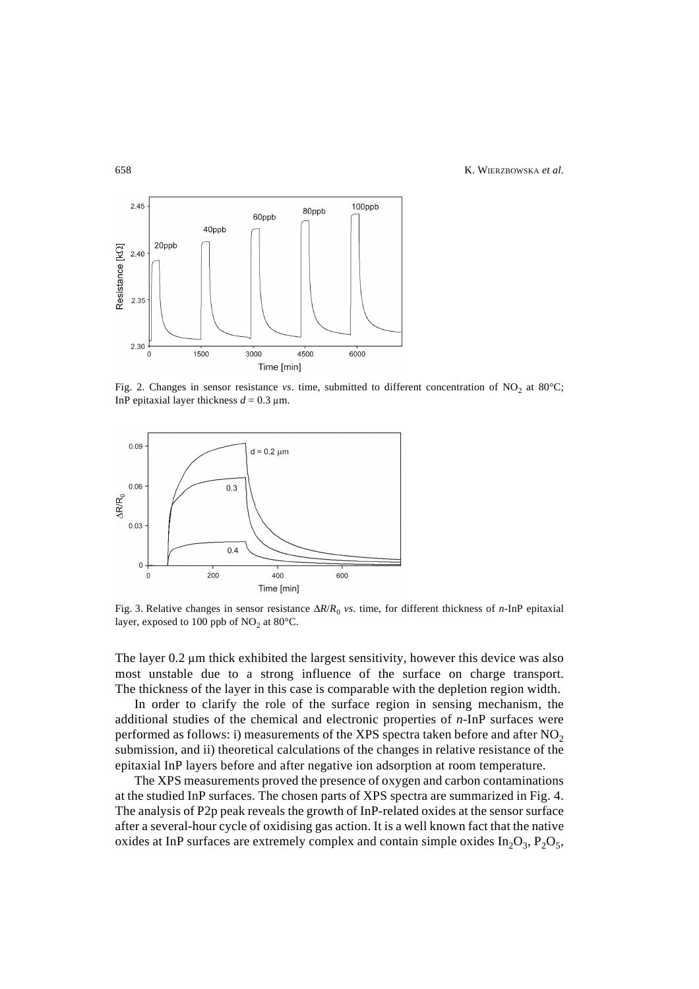658 K. WIERZBOWSKA *et al.*



Fig. 2. Changes in sensor resistance *vs*. time, submitted to different concentration of NO<sub>2</sub> at 80°C; InP epitaxial layer thickness  $d = 0.3 \text{ }\mu\text{m}$ .



Fig. 3. Relative changes in sensor resistance ∆*R*/*R*<sup>0</sup> *vs*. time, for different thickness of *n*-InP epitaxial layer, exposed to 100 ppb of  $NO<sub>2</sub>$  at 80°C.

The layer 0.2 µm thick exhibited the largest sensitivity, however this device was also most unstable due to a strong influence of the surface on charge transport. The thickness of the layer in this case is comparable with the depletion region width.

In order to clarify the role of the surface region in sensing mechanism, the additional studies of the chemical and electronic properties of *n*-InP surfaces were performed as follows: i) measurements of the XPS spectra taken before and after  $NO<sub>2</sub>$ submission, and ii) theoretical calculations of the changes in relative resistance of the epitaxial InP layers before and after negative ion adsorption at room temperature.

The XPS measurements proved the presence of oxygen and carbon contaminations at the studied InP surfaces. The chosen parts of XPS spectra are summarized in Fig. 4. The analysis of P2p peak reveals the growth of InP-related oxides at the sensor surface after a several-hour cycle of oxidising gas action. It is a well known fact that the native oxides at InP surfaces are extremely complex and contain simple oxides  $In_2O_3$ ,  $P_2O_5$ ,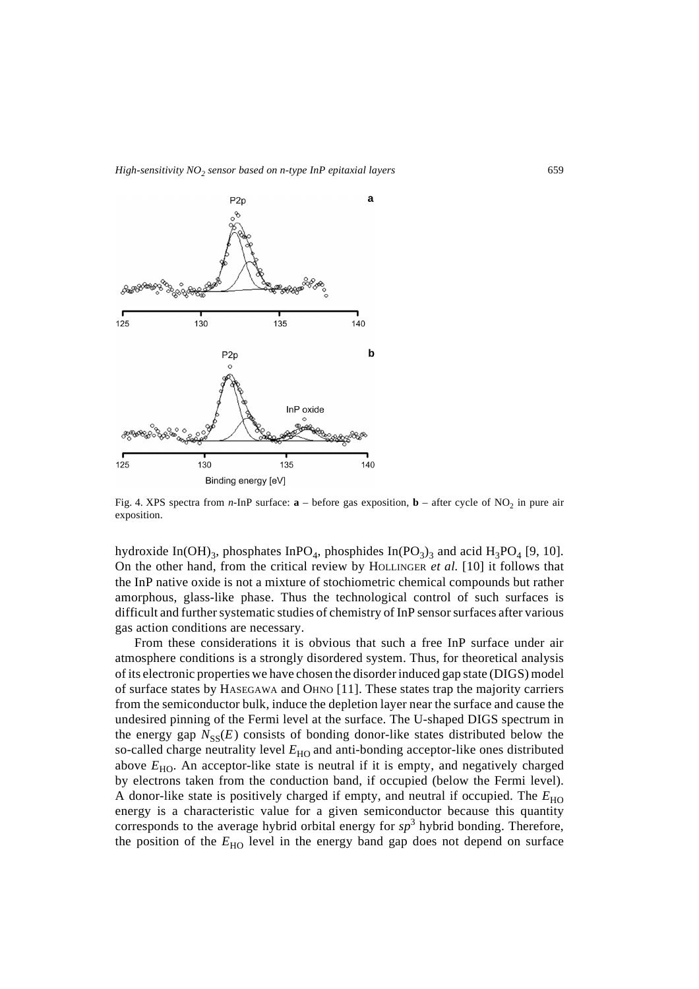

Fig. 4. XPS spectra from  $n$ -InP surface:  $\mathbf{a}$  – before gas exposition,  $\mathbf{b}$  – after cycle of NO<sub>2</sub> in pure air exposition.

hydroxide In(OH)<sub>3</sub>, phosphates InPO<sub>4</sub>, phosphides In(PO<sub>3</sub>)<sub>3</sub> and acid H<sub>3</sub>PO<sub>4</sub> [9, 10]. On the other hand, from the critical review by HOLLINGER *et al.* [10] it follows that the InP native oxide is not a mixture of stochiometric chemical compounds but rather amorphous, glass-like phase. Thus the technological control of such surfaces is difficult and further systematic studies of chemistry of InP sensor surfaces after various gas action conditions are necessary.

From these considerations it is obvious that such a free InP surface under air atmosphere conditions is a strongly disordered system. Thus, for theoretical analysis of its electronic properties we have chosen the disorder induced gap state (DIGS) model of surface states by HASEGAWA and OHNO [11]. These states trap the majority carriers from the semiconductor bulk, induce the depletion layer near the surface and cause the undesired pinning of the Fermi level at the surface. The U-shaped DIGS spectrum in the energy gap  $N_{SS}(E)$  consists of bonding donor-like states distributed below the so-called charge neutrality level  $E_{HO}$  and anti-bonding acceptor-like ones distributed above  $E_{HO}$ . An acceptor-like state is neutral if it is empty, and negatively charged by electrons taken from the conduction band, if occupied (below the Fermi level). A donor-like state is positively charged if empty, and neutral if occupied. The  $E_{HO}$ energy is a characteristic value for a given semiconductor because this quantity corresponds to the average hybrid orbital energy for *sp*<sup>3</sup> hybrid bonding. Therefore, the position of the  $E_{HO}$  level in the energy band gap does not depend on surface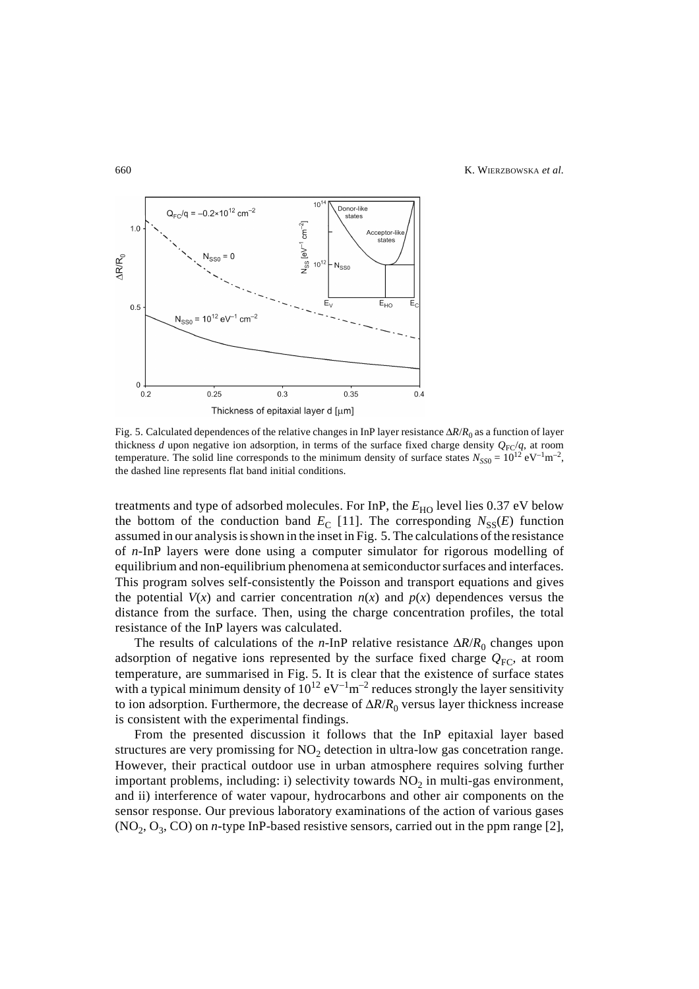

Fig. 5. Calculated dependences of the relative changes in InP layer resistance ∆*R*/*R*0 as a function of layer thickness *d* upon negative ion adsorption, in terms of the surface fixed charge density  $Q_{\text{FC}}/q$ , at room temperature. The solid line corresponds to the minimum density of surface states  $N_{SS0} = 10^{12} \text{ eV}^{-1} \text{m}^{-2}$ , the dashed line represents flat band initial conditions.

treatments and type of adsorbed molecules. For InP, the  $E_{HO}$  level lies 0.37 eV below the bottom of the conduction band  $E_C$  [11]. The corresponding  $N_{SS}(E)$  function assumed in our analysis is shown in the inset in Fig. 5. The calculations of the resistance of *n*-InP layers were done using a computer simulator for rigorous modelling of equilibrium and non-equilibrium phenomena at semiconductor surfaces and interfaces. This program solves self-consistently the Poisson and transport equations and gives the potential  $V(x)$  and carrier concentration  $n(x)$  and  $p(x)$  dependences versus the distance from the surface. Then, using the charge concentration profiles, the total resistance of the InP layers was calculated.

The results of calculations of the *n*-InP relative resistance ∆*R*/*R*0 changes upon adsorption of negative ions represented by the surface fixed charge  $Q_{FC}$ , at room temperature, are summarised in Fig. 5. It is clear that the existence of surface states with a typical minimum density of  $10^{12}$  eV<sup>-1</sup>m<sup>-2</sup> reduces strongly the layer sensitivity to ion adsorption. Furthermore, the decrease of Δ*R*/*R*<sub>0</sub> versus layer thickness increase is consistent with the experimental findings.

From the presented discussion it follows that the InP epitaxial layer based structures are very promissing for  $NO<sub>2</sub>$  detection in ultra-low gas concetration range. However, their practical outdoor use in urban atmosphere requires solving further important problems, including: i) selectivity towards  $NO<sub>2</sub>$  in multi-gas environment, and ii) interference of water vapour, hydrocarbons and other air components on the sensor response. Our previous laboratory examinations of the action of various gases  $(NO<sub>2</sub>, O<sub>3</sub>, CO)$  on *n*-type InP-based resistive sensors, carried out in the ppm range [2],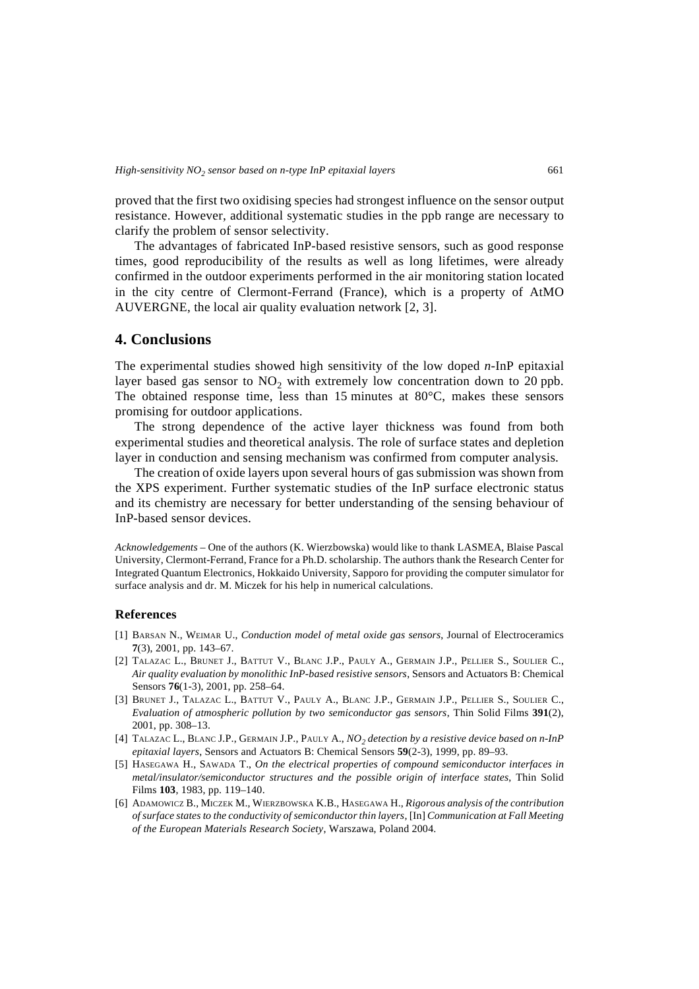proved that the first two oxidising species had strongest influence on the sensor output resistance. However, additional systematic studies in the ppb range are necessary to clarify the problem of sensor selectivity.

The advantages of fabricated InP-based resistive sensors, such as good response times, good reproducibility of the results as well as long lifetimes, were already confirmed in the outdoor experiments performed in the air monitoring station located in the city centre of Clermont-Ferrand (France), which is a property of AtMO AUVERGNE, the local air quality evaluation network [2, 3].

#### **4. Conclusions**

The experimental studies showed high sensitivity of the low doped *n*-InP epitaxial layer based gas sensor to  $NO<sub>2</sub>$  with extremely low concentration down to 20 ppb. The obtained response time, less than 15 minutes at  $80^{\circ}$ C, makes these sensors promising for outdoor applications.

The strong dependence of the active layer thickness was found from both experimental studies and theoretical analysis. The role of surface states and depletion layer in conduction and sensing mechanism was confirmed from computer analysis.

The creation of oxide layers upon several hours of gas submission was shown from the XPS experiment. Further systematic studies of the InP surface electronic status and its chemistry are necessary for better understanding of the sensing behaviour of InP-based sensor devices.

*Acknowledgements* – One of the authors (K. Wierzbowska) would like to thank LASMEA, Blaise Pascal University, Clermont-Ferrand, France for a Ph.D. scholarship. The authors thank the Research Center for Integrated Quantum Electronics, Hokkaido University, Sapporo for providing the computer simulator for surface analysis and dr. M. Miczek for his help in numerical calculations.

#### **References**

- [1] BARSAN N., WEIMAR U., *Conduction model of metal oxide gas sensors*, Journal of Electroceramics **7**(3), 2001, pp. 143–67.
- [2] TALAZAC L., BRUNET J., BATTUT V., BLANC J.P., PAULY A., GERMAIN J.P., PELLIER S., SOULIER C., *Air quality evaluation by monolithic InP-based resistive sensors*, Sensors and Actuators B: Chemical Sensors **76**(1-3), 2001, pp. 258–64.
- [3] BRUNET J., TALAZAC L., BATTUT V., PAULY A., BLANC J.P., GERMAIN J.P., PELLIER S., SOULIER C., *Evaluation of atmospheric pollution by two semiconductor gas sensors*, Thin Solid Films **391**(2), 2001, pp. 308–13.
- [4] TALAZAC L., BLANC J.P., GERMAIN J.P., PAULY A., *NO2 detection by a resistive device based on n-InP epitaxial layers*, Sensors and Actuators B: Chemical Sensors **59**(2-3), 1999, pp. 89–93.
- [5] HASEGAWA H., SAWADA T., *On the electrical properties of compound semiconductor interfaces in metal/insulator/semiconductor structures and the possible origin of interface states*, Thin Solid Films **103**, 1983, pp. 119–140.
- [6] ADAMOWICZ B., MICZEK M., WIERZBOWSKA K.B., HASEGAWA H., *Rigorous analysis of the contribution of surface states to the conductivity of semiconductor thin layers*, [In] *Communication at Fall Meeting of the European Materials Research Society*, Warszawa, Poland 2004.